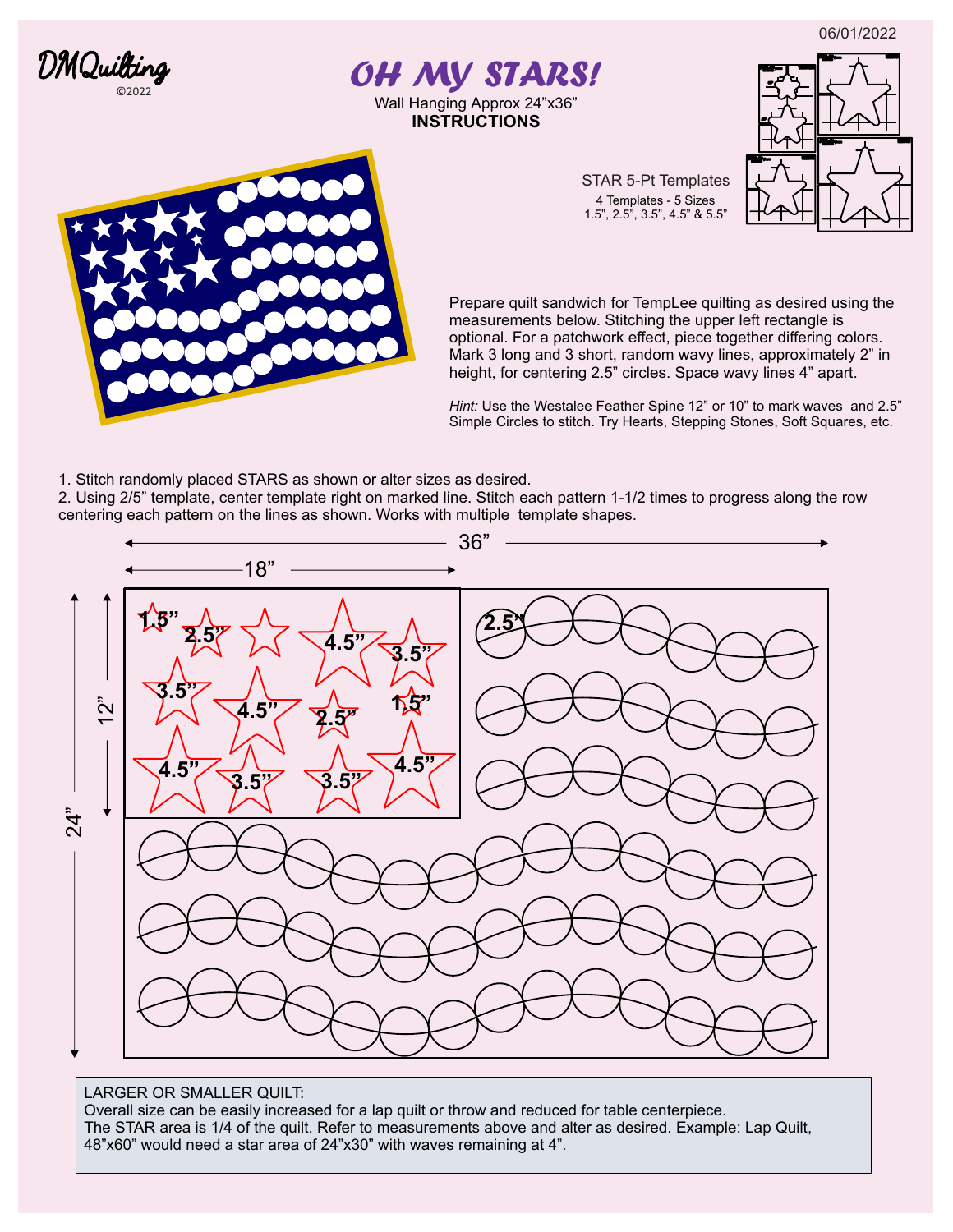06/01/2022



# *OH MY STARS!*  Wall Hanging Approx 24"x36"

**INSTRUCTIONS**



STAR 5-Pt Templates 4 Templates - 5 Sizes 1.5", 2.5", 3.5", 4.5" & 5.5"

Prepare quilt sandwich for TempLee quilting as desired using the measurements below. Stitching the upper left rectangle is optional. For a patchwork effect, piece together differing colors. Mark 3 long and 3 short, random wavy lines, approximately 2" in height, for centering 2.5" circles. Space wavy lines 4" apart.

*Hint:* Use the Westalee Feather Spine 12" or 10" to mark waves and 2.5" Simple Circles to stitch. Try Hearts, Stepping Stones, Soft Squares, etc.

1. Stitch randomly placed STARS as shown or alter sizes as desired.

2. Using 2/5" template, center template right on marked line. Stitch each pattern 1-1/2 times to progress along the row centering each pattern on the lines as shown. Works with multiple template shapes.



### LARGER OR SMALLER QUILT:

Overall size can be easily increased for a lap quilt or throw and reduced for table centerpiece. The STAR area is 1/4 of the quilt. Refer to measurements above and alter as desired. Example: Lap Quilt, 48"x60" would need a star area of 24"x30" with waves remaining at 4".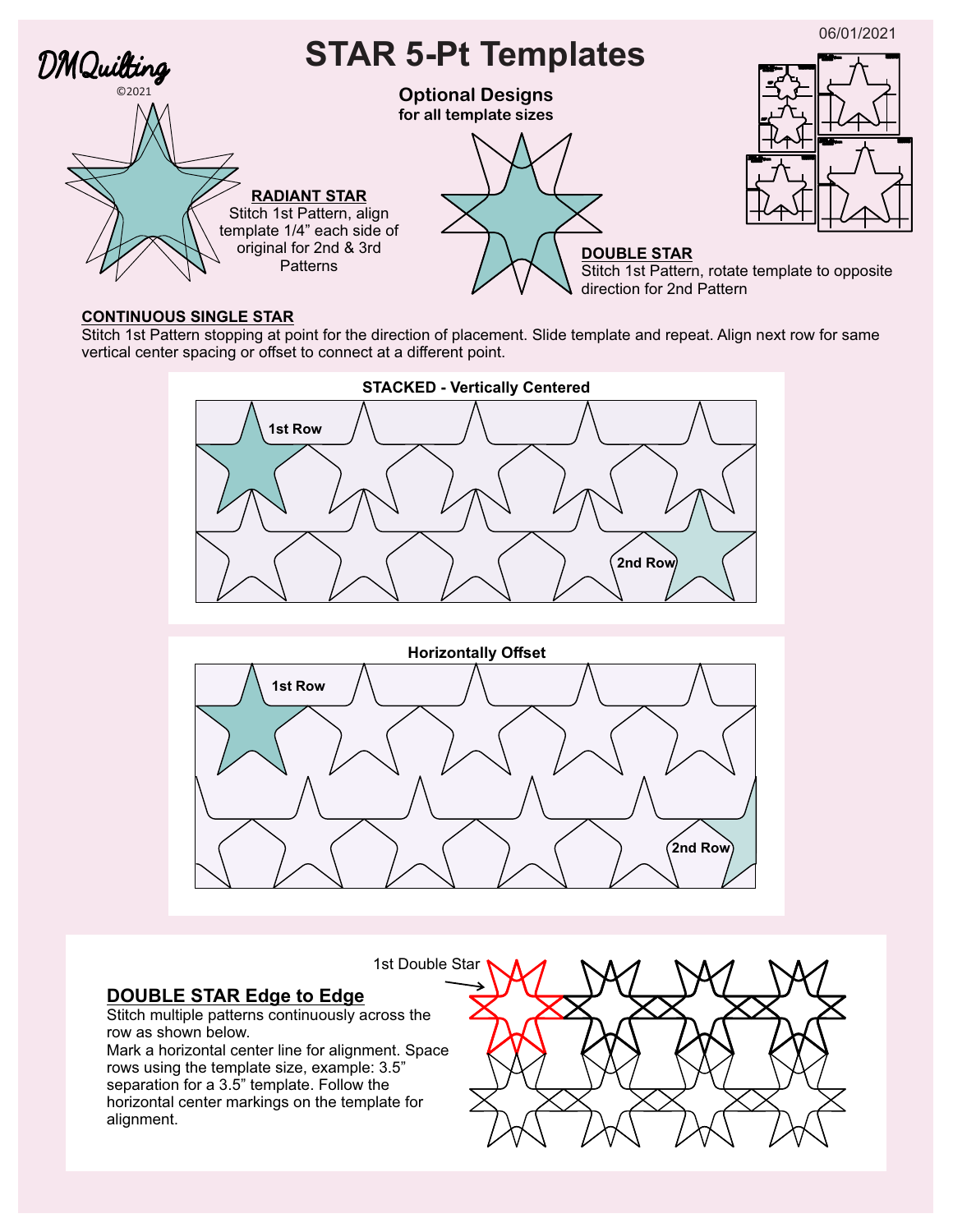

#### **CONTINUOUS SINGLE STAR**

Stitch 1st Pattern stopping at point for the direction of placement. Slide template and repeat. Align next row for same vertical center spacing or offset to connect at a different point.





1st Double Star

## **DOUBLE STAR Edge to Edge**

Stitch multiple patterns continuously across the row as shown below.

Mark a horizontal center line for alignment. Space rows using the template size, example: 3.5" separation for a 3.5" template. Follow the horizontal center markings on the template for alignment.